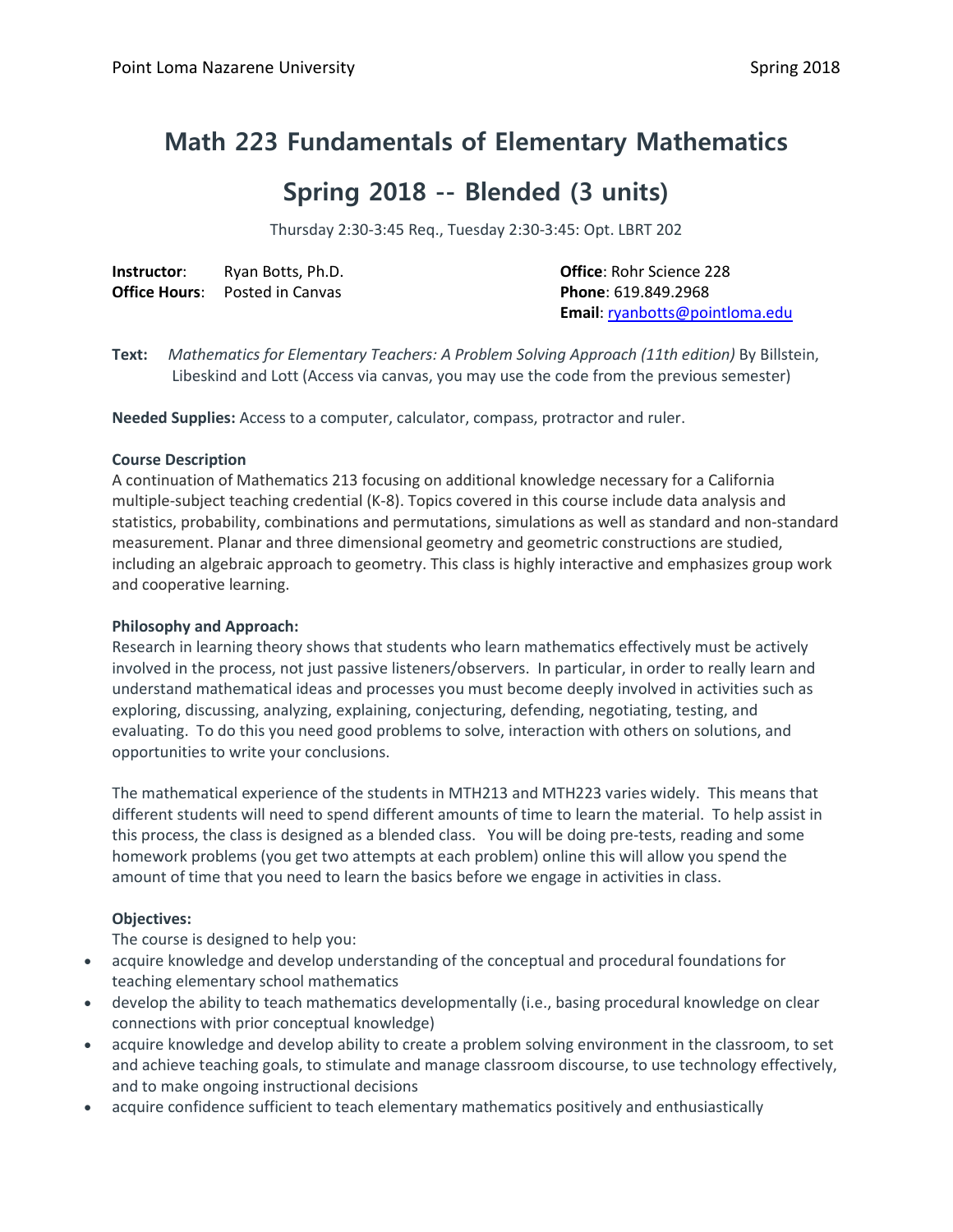# **Math 223 Fundamentals of Elementary Mathematics**

# **Spring 2018 -- Blended (3 units)**

Thursday 2:30-3:45 Req., Tuesday 2:30-3:45: Opt. LBRT 202

| Instructor:          | Ryan Botts, Ph.D. |
|----------------------|-------------------|
| <b>Office Hours:</b> | Posted in Canvas  |

**Office: Rohr Science 228 Phone: 619.849.2968 Email**[: ryanbotts@pointloma.edu](mailto:ryanbotts@pointloma.edu)

**Text:** *Mathematics for Elementary Teachers: A Problem Solving Approach (11th edition)* By Billstein, Libeskind and Lott (Access via canvas, you may use the code from the previous semester)

**Needed Supplies:** Access to a computer, calculator, compass, protractor and ruler.

#### **Course Description**

A continuation of Mathematics 213 focusing on additional knowledge necessary for a California multiple-subject teaching credential (K-8). Topics covered in this course include data analysis and statistics, probability, combinations and permutations, simulations as well as standard and non-standard measurement. Planar and three dimensional geometry and geometric constructions are studied, including an algebraic approach to geometry. This class is highly interactive and emphasizes group work and cooperative learning.

# **Philosophy and Approach:**

Research in learning theory shows that students who learn mathematics effectively must be actively involved in the process, not just passive listeners/observers. In particular, in order to really learn and understand mathematical ideas and processes you must become deeply involved in activities such as exploring, discussing, analyzing, explaining, conjecturing, defending, negotiating, testing, and evaluating. To do this you need good problems to solve, interaction with others on solutions, and opportunities to write your conclusions.

The mathematical experience of the students in MTH213 and MTH223 varies widely. This means that different students will need to spend different amounts of time to learn the material. To help assist in this process, the class is designed as a blended class. You will be doing pre-tests, reading and some homework problems (you get two attempts at each problem) online this will allow you spend the amount of time that you need to learn the basics before we engage in activities in class.

# **Objectives:**

The course is designed to help you:

- acquire knowledge and develop understanding of the conceptual and procedural foundations for teaching elementary school mathematics
- develop the ability to teach mathematics developmentally (i.e., basing procedural knowledge on clear connections with prior conceptual knowledge)
- acquire knowledge and develop ability to create a problem solving environment in the classroom, to set and achieve teaching goals, to stimulate and manage classroom discourse, to use technology effectively, and to make ongoing instructional decisions
- acquire confidence sufficient to teach elementary mathematics positively and enthusiastically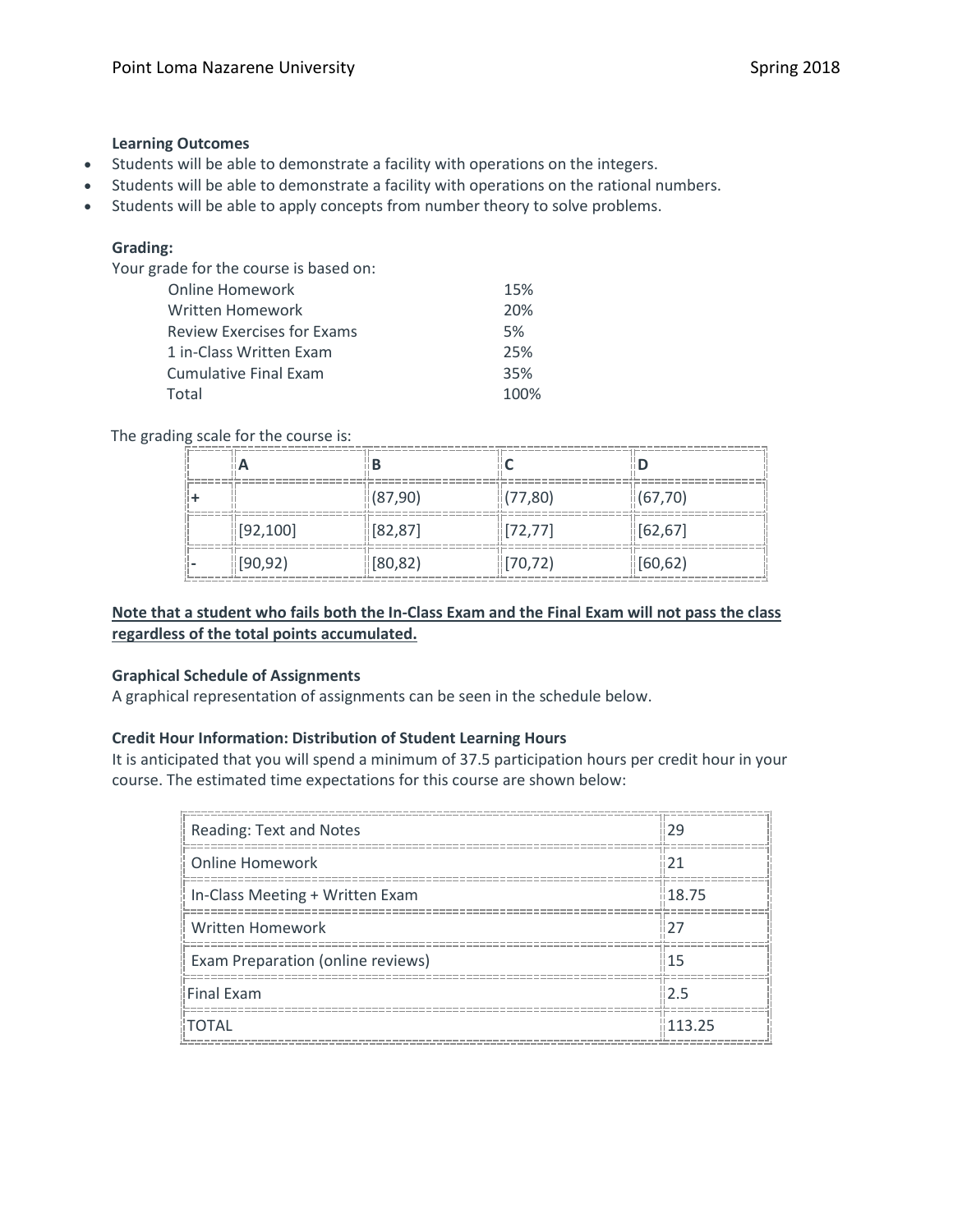# **Learning Outcomes**

- Students will be able to demonstrate a facility with operations on the integers.
- Students will be able to demonstrate a facility with operations on the rational numbers.
- Students will be able to apply concepts from number theory to solve problems.

# **Grading:**

Your grade for the course is based on:

| <b>Online Homework</b>            | 15%  |
|-----------------------------------|------|
| Written Homework                  | 20%  |
| <b>Review Exercises for Exams</b> | 5%   |
| 1 in-Class Written Exam           | 25%  |
| Cumulative Final Exam             | 35%  |
| Total                             | 100% |

#### The grading scale for the course is:

|          | (87,90)  | (77,80)  | (67, 70) |
|----------|----------|----------|----------|
| [92,100] | 82,87    | [72.77]  | [62, 67] |
| [90, 92] | (80, 82) | [70, 72] | [60,62]  |

# **Note that a student who fails both the In-Class Exam and the Final Exam will not pass the class regardless of the total points accumulated.**

## **Graphical Schedule of Assignments**

A graphical representation of assignments can be seen in the schedule below.

# **Credit Hour Information: Distribution of Student Learning Hours**

It is anticipated that you will spend a minimum of 37.5 participation hours per credit hour in your course. The estimated time expectations for this course are shown below:

| Reading: Text and Notes           |                   |
|-----------------------------------|-------------------|
| Online Homework                   |                   |
| In-Class Meeting + Written Exam   | $\parallel$ 18.75 |
| <b>Written Homework</b>           |                   |
| Exam Preparation (online reviews) |                   |
| Final Exam                        |                   |
| <b>TOTAL</b>                      | 113.25            |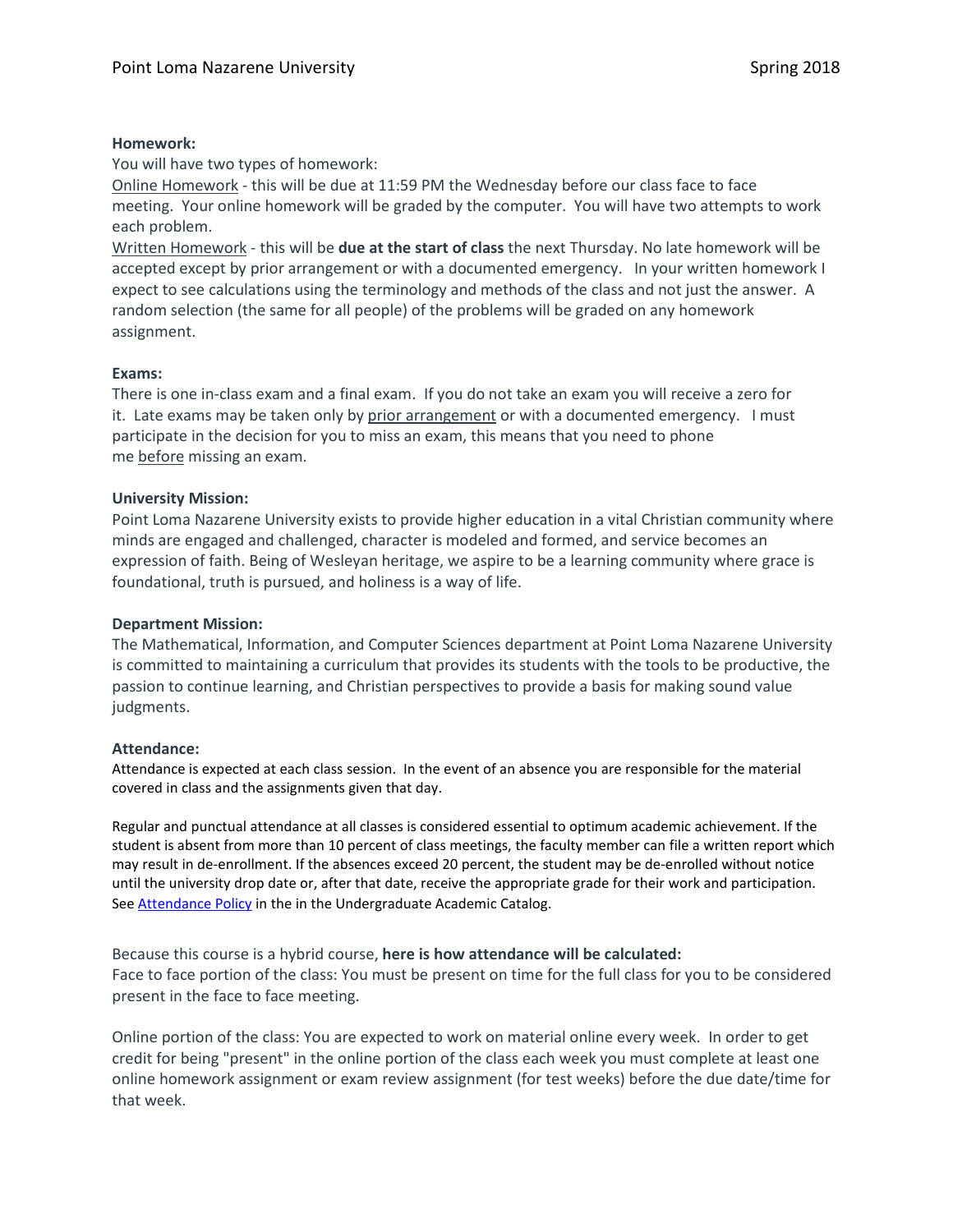# **Homework:**

You will have two types of homework:

Online Homework - this will be due at 11:59 PM the Wednesday before our class face to face meeting. Your online homework will be graded by the computer. You will have two attempts to work each problem.

Written Homework - this will be **due at the start of class** the next Thursday. No late homework will be accepted except by prior arrangement or with a documented emergency. In your written homework I expect to see calculations using the terminology and methods of the class and not just the answer. A random selection (the same for all people) of the problems will be graded on any homework assignment.

# **Exams:**

There is one in-class exam and a final exam. If you do not take an exam you will receive a zero for it. Late exams may be taken only by prior arrangement or with a documented emergency. I must participate in the decision for you to miss an exam, this means that you need to phone me before missing an exam.

#### **University Mission:**

Point Loma Nazarene University exists to provide higher education in a vital Christian community where minds are engaged and challenged, character is modeled and formed, and service becomes an expression of faith. Being of Wesleyan heritage, we aspire to be a learning community where grace is foundational, truth is pursued, and holiness is a way of life.

## **Department Mission:**

The Mathematical, Information, and Computer Sciences department at Point Loma Nazarene University is committed to maintaining a curriculum that provides its students with the tools to be productive, the passion to continue learning, and Christian perspectives to provide a basis for making sound value judgments.

#### **Attendance:**

Attendance is expected at each class session. In the event of an absence you are responsible for the material covered in class and the assignments given that day.

Regular and punctual attendance at all classes is considered essential to optimum academic achievement. If the student is absent from more than 10 percent of class meetings, the faculty member can file a written report which may result in de-enrollment. If the absences exceed 20 percent, the student may be de-enrolled without notice until the university drop date or, after that date, receive the appropriate grade for their work and participation. See **Attendance Policy** in the in the Undergraduate Academic Catalog.

Because this course is a hybrid course, **here is how attendance will be calculated:** Face to face portion of the class: You must be present on time for the full class for you to be considered present in the face to face meeting.

Online portion of the class: You are expected to work on material online every week. In order to get credit for being "present" in the online portion of the class each week you must complete at least one online homework assignment or exam review assignment (for test weeks) before the due date/time for that week.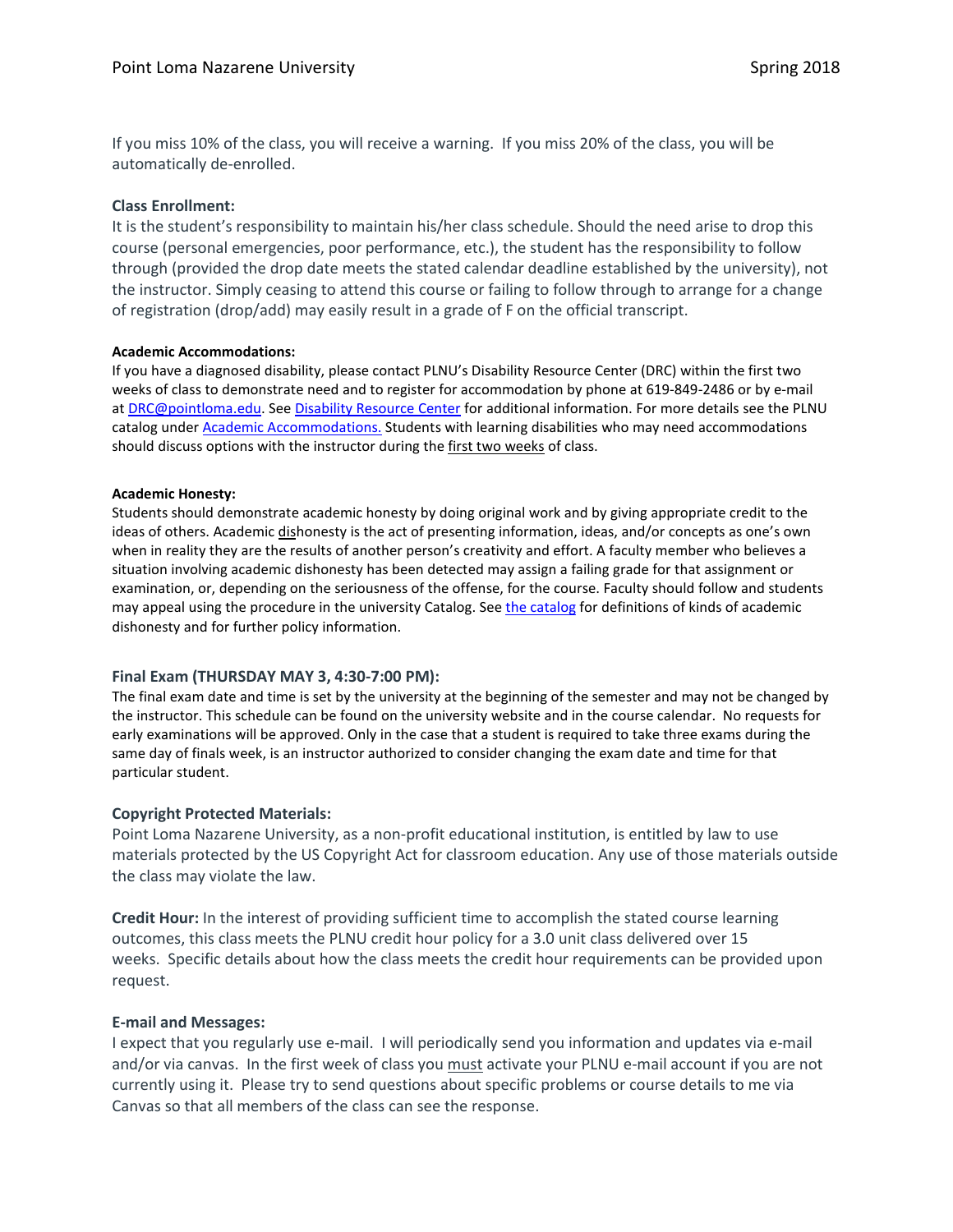If you miss 10% of the class, you will receive a warning. If you miss 20% of the class, you will be automatically de-enrolled.

#### **Class Enrollment:**

It is the student's responsibility to maintain his/her class schedule. Should the need arise to drop this course (personal emergencies, poor performance, etc.), the student has the responsibility to follow through (provided the drop date meets the stated calendar deadline established by the university), not the instructor. Simply ceasing to attend this course or failing to follow through to arrange for a change of registration (drop/add) may easily result in a grade of F on the official transcript.

#### **Academic Accommodations:**

If you have a diagnosed disability, please contact PLNU's Disability Resource Center (DRC) within the first two weeks of class to demonstrate need and to register for accommodation by phone at 619-849-2486 or by e-mail a[t DRC@pointloma.edu.](mailto:DRC@pointloma.edu) Se[e Disability Resource Center](http://www.pointloma.edu/experience/offices/administrative-offices/academic-advising-office/disability-resource-center) for additional information. For more details see the PLNU catalog under **Academic Accommodations**. Students with learning disabilities who may need accommodations should discuss options with the instructor during the first two weeks of class.

#### **Academic Honesty:**

Students should demonstrate academic honesty by doing original work and by giving appropriate credit to the ideas of others. Academic dishonesty is the act of presenting information, ideas, and/or concepts as one's own when in reality they are the results of another person's creativity and effort. A faculty member who believes a situation involving academic dishonesty has been detected may assign a failing grade for that assignment or examination, or, depending on the seriousness of the offense, for the course. Faculty should follow and students may appeal using the procedure in the university Catalog. See [the catalog](https://catalog.pointloma.edu/content.php?catoid=28&navoid=1761#Academic_Honesty) for definitions of kinds of academic dishonesty and for further policy information.

# **Final Exam (THURSDAY MAY 3, 4:30-7:00 PM):**

The final exam date and time is set by the university at the beginning of the semester and may not be changed by the instructor. This schedule can be found on the university website and in the course calendar. No requests for early examinations will be approved. Only in the case that a student is required to take three exams during the same day of finals week, is an instructor authorized to consider changing the exam date and time for that particular student.

# **Copyright Protected Materials:**

Point Loma Nazarene University, as a non-profit educational institution, is entitled by law to use materials protected by the US Copyright Act for classroom education. Any use of those materials outside the class may violate the law.

**Credit Hour:** In the interest of providing sufficient time to accomplish the stated course learning outcomes, this class meets the PLNU credit hour policy for a 3.0 unit class delivered over 15 weeks. Specific details about how the class meets the credit hour requirements can be provided upon request.

# **E-mail and Messages:**

I expect that you regularly use e-mail. I will periodically send you information and updates via e-mail and/or via canvas. In the first week of class you must activate your PLNU e-mail account if you are not currently using it. Please try to send questions about specific problems or course details to me via Canvas so that all members of the class can see the response.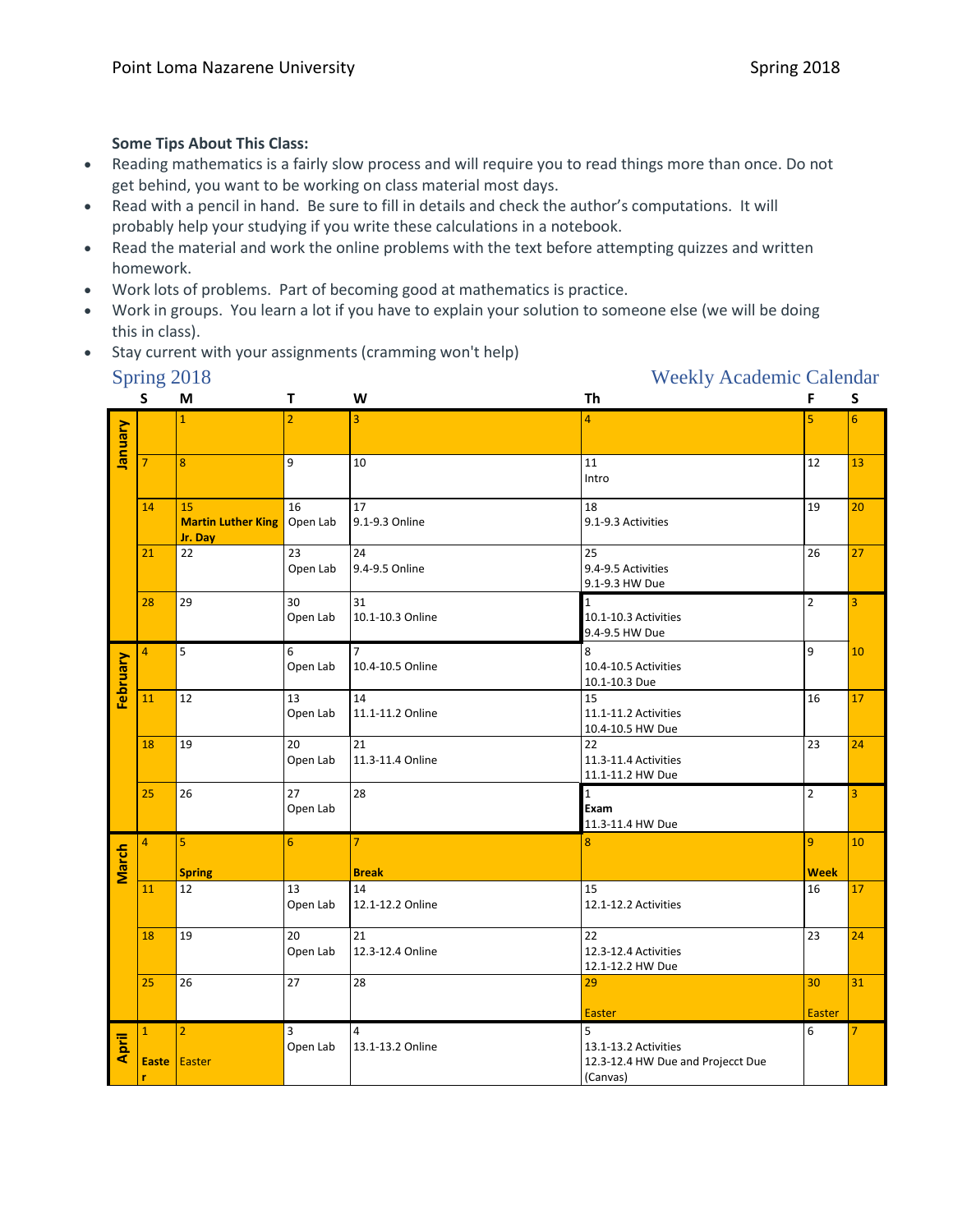# **Some Tips About This Class:**

- Reading mathematics is a fairly slow process and will require you to read things more than once. Do not get behind, you want to be working on class material most days.
- Read with a pencil in hand. Be sure to fill in details and check the author's computations. It will probably help your studying if you write these calculations in a notebook.
- Read the material and work the online problems with the text before attempting quizzes and written homework.
- Work lots of problems. Part of becoming good at mathematics is practice.
- Work in groups. You learn a lot if you have to explain your solution to someone else (we will be doing this in class).
- Stay current with your assignments (cramming won't help)

# Spring 2018 Weekly Academic Calendar

|                | S                                  | M                                          | T              | W                                  | <b>Th</b>                                                                  | F                             | S              |
|----------------|------------------------------------|--------------------------------------------|----------------|------------------------------------|----------------------------------------------------------------------------|-------------------------------|----------------|
| <b>Vienuel</b> |                                    | $\overline{1}$                             | $\overline{2}$ | 3                                  | 4                                                                          | 5                             | 6              |
|                | $\overline{7}$                     | 8                                          | 9              | 10                                 | 11<br>Intro                                                                | 12                            | 13             |
|                | 14                                 | 15<br><b>Martin Luther King</b><br>Jr. Day | 16<br>Open Lab | 17<br>9.1-9.3 Online               | 18<br>9.1-9.3 Activities                                                   | 19                            | 20             |
|                | 21                                 | 22                                         | 23<br>Open Lab | 24<br>9.4-9.5 Online               | 25<br>9.4-9.5 Activities<br>9.1-9.3 HW Due                                 | 26                            | 27             |
|                | 28                                 | 29                                         | 30<br>Open Lab | 31<br>10.1-10.3 Online             | $\mathbf{1}$<br>10.1-10.3 Activities<br>9.4-9.5 HW Due                     | $\overline{2}$                | 3              |
| February       | $\overline{4}$                     | 5                                          | 6<br>Open Lab  | $\overline{7}$<br>10.4-10.5 Online | 8<br>10.4-10.5 Activities<br>10.1-10.3 Due                                 | 9                             | 10             |
|                | 11                                 | 12                                         | 13<br>Open Lab | 14<br>11.1-11.2 Online             | 15<br>11.1-11.2 Activities<br>10.4-10.5 HW Due                             | 16                            | 17             |
|                | 18                                 | 19                                         | 20<br>Open Lab | 21<br>11.3-11.4 Online             | 22<br>11.3-11.4 Activities<br>11.1-11.2 HW Due                             | 23                            | 24             |
|                | 25                                 | 26                                         | 27<br>Open Lab | 28                                 | $\mathbf{1}$<br>Exam<br>11.3-11.4 HW Due                                   | $\overline{2}$                | $\overline{3}$ |
| March          | $\overline{4}$                     | 5<br><b>Spring</b>                         | 6              | $\overline{7}$<br><b>Break</b>     | 8                                                                          | $\overline{9}$<br><b>Week</b> | 10             |
|                | 11                                 | 12                                         | 13<br>Open Lab | 14<br>12.1-12.2 Online             | 15<br>12.1-12.2 Activities                                                 | $\overline{16}$               | 17             |
|                | 18                                 | 19                                         | 20<br>Open Lab | 21<br>12.3-12.4 Online             | 22<br>12.3-12.4 Activities<br>12.1-12.2 HW Due                             | 23                            | 24             |
|                | 25                                 | 26                                         | 27             | 28                                 | 29<br><b>Easter</b>                                                        | 30<br><b>Easter</b>           | 31             |
| April          | $\mathbf{1}$<br><b>Easte</b><br>r. | $\overline{2}$<br>Easter                   | 3<br>Open Lab  | 4<br>13.1-13.2 Online              | 5<br>13.1-13.2 Activities<br>12.3-12.4 HW Due and Projecct Due<br>(Canvas) | 6                             |                |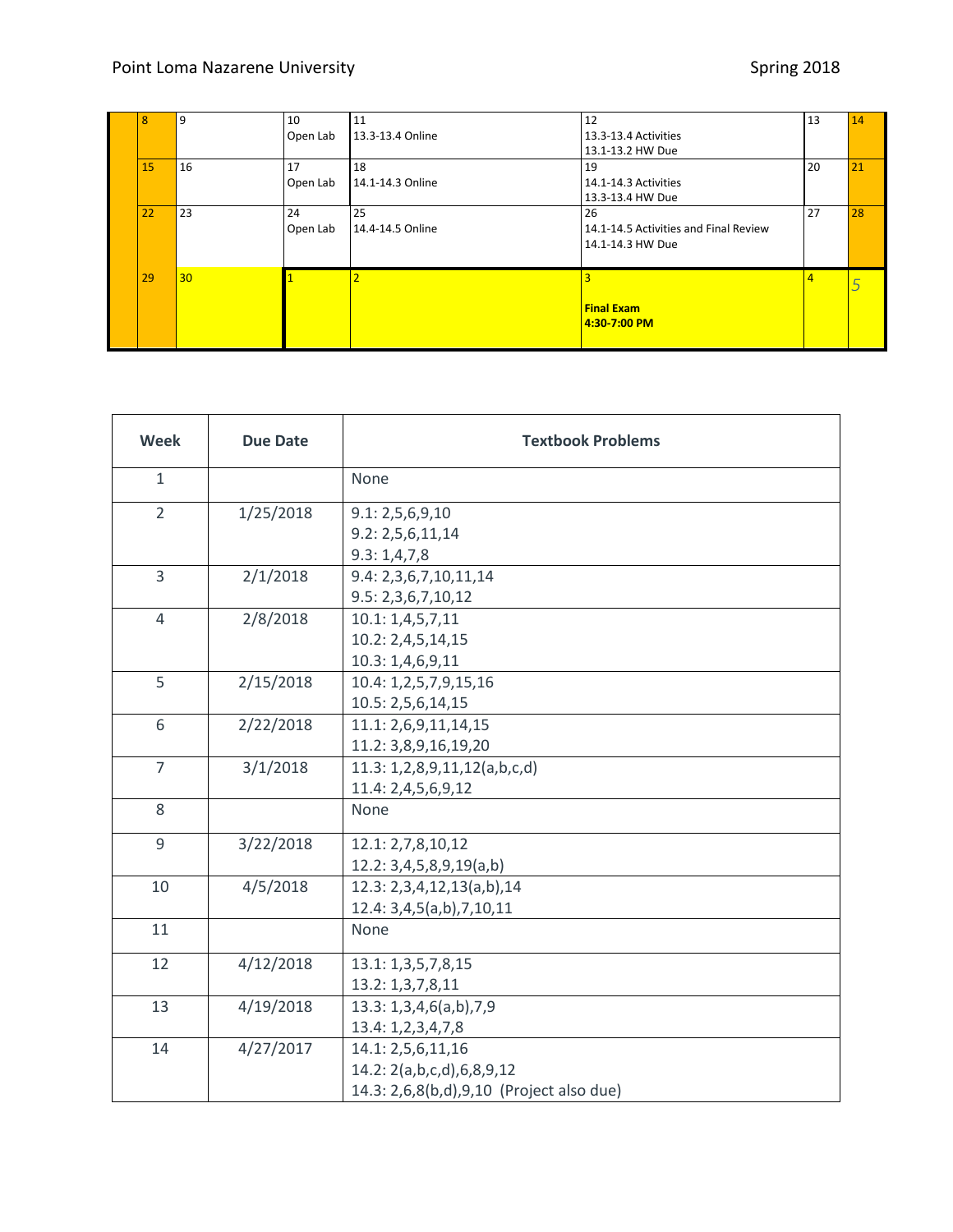| 8  | 9  | 10<br>Open Lab | 11<br>13.3-13.4 Online | 12<br>13.3-13.4 Activities<br>13.1-13.2 HW Due                  | 13             | 14 |
|----|----|----------------|------------------------|-----------------------------------------------------------------|----------------|----|
| 15 | 16 | 17<br>Open Lab | 18<br>14.1-14.3 Online | 19<br>14.1-14.3 Activities<br>13.3-13.4 HW Due                  | 20             | 21 |
| 22 | 23 | 24<br>Open Lab | 25<br>14.4-14.5 Online | 26<br>14.1-14.5 Activities and Final Review<br>14.1-14.3 HW Due | 27             | 28 |
| 29 | 30 |                |                        | <b>Final Exam</b><br>4:30-7:00 PM                               | $\overline{4}$ |    |

| <b>Week</b>    | <b>Due Date</b> | <b>Textbook Problems</b>                                                                   |
|----------------|-----------------|--------------------------------------------------------------------------------------------|
| $\mathbf{1}$   |                 | None                                                                                       |
| $\overline{2}$ | 1/25/2018       | 9.1: 2, 5, 6, 9, 10<br>9.2: 2,5,6,11,14<br>9.3:1,4,7,8                                     |
| 3              | 2/1/2018        | 9.4: 2,3,6,7,10,11,14<br>9.5: 2,3,6,7,10,12                                                |
| 4              | 2/8/2018        | 10.1: 1, 4, 5, 7, 11<br>10.2: 2,4,5,14,15<br>10.3: 1,4,6,9,11                              |
| 5              | 2/15/2018       | 10.4: 1,2,5,7,9,15,16<br>10.5: 2,5,6,14,15                                                 |
| 6              | 2/22/2018       | 11.1: 2,6,9,11,14,15<br>11.2: 3,8,9,16,19,20                                               |
| $\overline{7}$ | 3/1/2018        | 11.3: 1,2,8,9,11,12(a,b,c,d)<br>11.4: 2,4,5,6,9,12                                         |
| 8              |                 | None                                                                                       |
| 9              | 3/22/2018       | 12.1: 2,7,8,10,12<br>12.2: 3,4,5,8,9,19(a,b)                                               |
| 10             | 4/5/2018        | 12.3: 2,3,4,12,13(a,b),14<br>12.4: 3,4,5(a,b),7,10,11                                      |
| 11             |                 | None                                                                                       |
| 12             | 4/12/2018       | 13.1: 1,3,5,7,8,15<br>13.2: 1,3,7,8,11                                                     |
| 13             | 4/19/2018       | 13.3: 1,3,4,6(a,b),7,9<br>13.4: 1,2,3,4,7,8                                                |
| 14             | 4/27/2017       | 14.1: 2,5,6,11,16<br>14.2: 2(a,b,c,d),6,8,9,12<br>14.3: 2,6,8(b,d),9,10 (Project also due) |